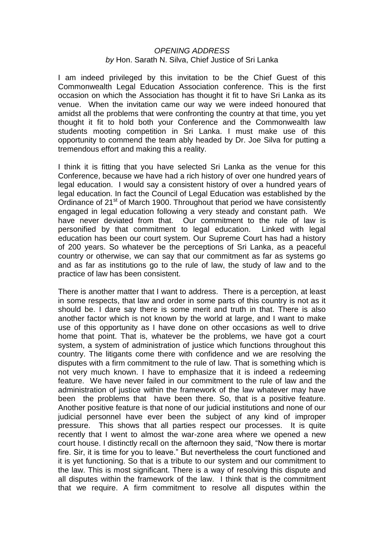## *OPENING ADDRESS by* Hon. Sarath N. Silva, Chief Justice of Sri Lanka

I am indeed privileged by this invitation to be the Chief Guest of this Commonwealth Legal Education Association conference. This is the first occasion on which the Association has thought it fit to have Sri Lanka as its venue. When the invitation came our way we were indeed honoured that amidst all the problems that were confronting the country at that time, you yet thought it fit to hold both your Conference and the Commonwealth law students mooting competition in Sri Lanka. I must make use of this opportunity to commend the team ably headed by Dr. Joe Silva for putting a tremendous effort and making this a reality.

I think it is fitting that you have selected Sri Lanka as the venue for this Conference, because we have had a rich history of over one hundred years of legal education. I would say a consistent history of over a hundred years of legal education. In fact the Council of Legal Education was established by the Ordinance of 21<sup>st</sup> of March 1900. Throughout that period we have consistently engaged in legal education following a very steady and constant path. We have never deviated from that. Our commitment to the rule of law is personified by that commitment to legal education. Linked with legal education has been our court system. Our Supreme Court has had a history of 200 years. So whatever be the perceptions of Sri Lanka, as a peaceful country or otherwise, we can say that our commitment as far as systems go and as far as institutions go to the rule of law, the study of law and to the practice of law has been consistent.

There is another matter that I want to address. There is a perception, at least in some respects, that law and order in some parts of this country is not as it should be. I dare say there is some merit and truth in that. There is also another factor which is not known by the world at large, and I want to make use of this opportunity as I have done on other occasions as well to drive home that point. That is, whatever be the problems, we have got a court system, a system of administration of justice which functions throughout this country. The litigants come there with confidence and we are resolving the disputes with a firm commitment to the rule of law. That is something which is not very much known. I have to emphasize that it is indeed a redeeming feature. We have never failed in our commitment to the rule of law and the administration of justice within the framework of the law whatever may have been the problems that have been there. So, that is a positive feature. Another positive feature is that none of our judicial institutions and none of our judicial personnel have ever been the subject of any kind of improper pressure. This shows that all parties respect our processes. It is quite recently that I went to almost the war-zone area where we opened a new court house. I distinctly recall on the afternoon they said, "Now there is mortar fire. Sir, it is time for you to leave." But nevertheless the court functioned and it is yet functioning. So that is a tribute to our system and our commitment to the law. This is most significant. There is a way of resolving this dispute and all disputes within the framework of the law. I think that is the commitment that we require. A firm commitment to resolve all disputes within the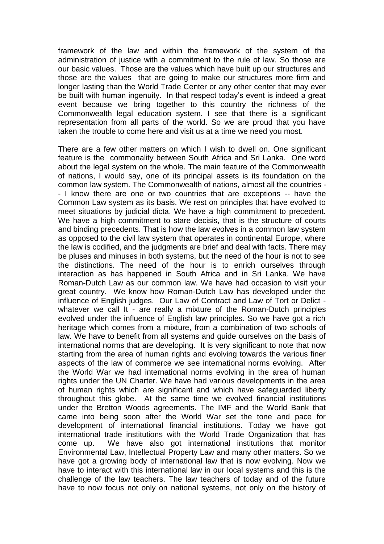framework of the law and within the framework of the system of the administration of justice with a commitment to the rule of law. So those are our basic values. Those are the values which have built up our structures and those are the values that are going to make our structures more firm and longer lasting than the World Trade Center or any other center that may ever be built with human ingenuity. In that respect today's event is indeed a great event because we bring together to this country the richness of the Commonwealth legal education system. I see that there is a significant representation from all parts of the world. So we are proud that you have taken the trouble to come here and visit us at a time we need you most.

There are a few other matters on which I wish to dwell on. One significant feature is the commonality between South Africa and Sri Lanka. One word about the legal system on the whole. The main feature of the Commonwealth of nations, I would say, one of its principal assets is its foundation on the common law system. The Commonwealth of nations, almost all the countries - - I know there are one or two countries that are exceptions -- have the Common Law system as its basis. We rest on principles that have evolved to meet situations by judicial dicta. We have a high commitment to precedent. We have a high commitment to stare decisis, that is the structure of courts and binding precedents. That is how the law evolves in a common law system as opposed to the civil law system that operates in continental Europe, where the law is codified, and the judgments are brief and deal with facts. There may be pluses and minuses in both systems, but the need of the hour is not to see the distinctions. The need of the hour is to enrich ourselves through interaction as has happened in South Africa and in Sri Lanka. We have Roman-Dutch Law as our common law. We have had occasion to visit your great country. We know how Roman-Dutch Law has developed under the influence of English judges. Our Law of Contract and Law of Tort or Delict whatever we call It - are really a mixture of the Roman-Dutch principles evolved under the influence of English law principles. So we have got a rich heritage which comes from a mixture, from a combination of two schools of law. We have to benefit from all systems and guide ourselves on the basis of international norms that are developing. It is very significant to note that now starting from the area of human rights and evolving towards the various finer aspects of the law of commerce we see international norms evolving. After the World War we had international norms evolving in the area of human rights under the UN Charter. We have had various developments in the area of human rights which are significant and which have safeguarded liberty throughout this globe. At the same time we evolved financial institutions under the Bretton Woods agreements. The IMF and the World Bank that came into being soon after the World War set the tone and pace for development of international financial institutions. Today we have got international trade institutions with the World Trade Organization that has come up. We have also got international institutions that monitor Environmental Law, Intellectual Property Law and many other matters. So we have got a growing body of international law that is now evolving. Now we have to interact with this international law in our local systems and this is the challenge of the law teachers. The law teachers of today and of the future have to now focus not only on national systems, not only on the history of